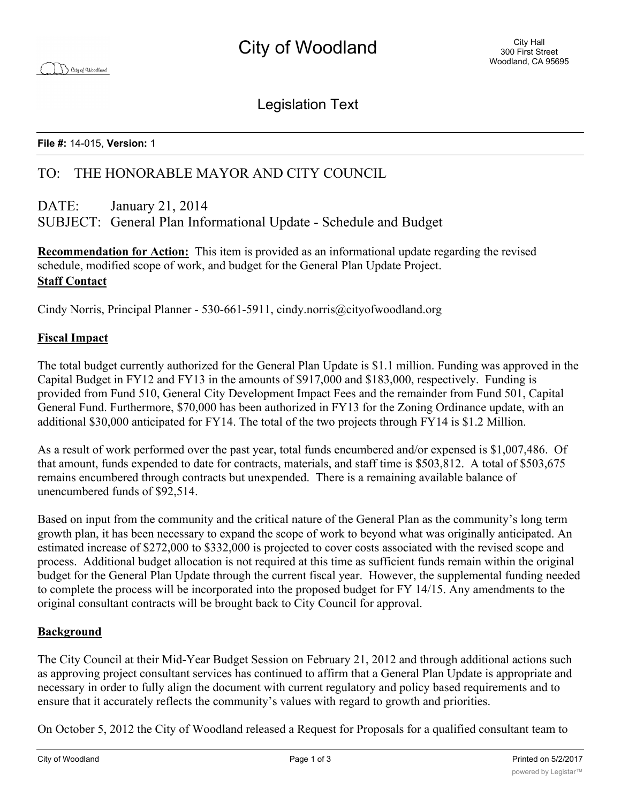Legislation Text

### **File #:** 14-015, **Version:** 1

# TO: THE HONORABLE MAYOR AND CITY COUNCIL

# DATE: January 21, 2014 SUBJECT: General Plan Informational Update - Schedule and Budget

**Recommendation for Action:** This item is provided as an informational update regarding the revised schedule, modified scope of work, and budget for the General Plan Update Project. **Staff Contact**

Cindy Norris, Principal Planner - 530-661-5911, cindy.norris@cityofwoodland.org

## **Fiscal Impact**

The total budget currently authorized for the General Plan Update is \$1.1 million. Funding was approved in the Capital Budget in FY12 and FY13 in the amounts of \$917,000 and \$183,000, respectively. Funding is provided from Fund 510, General City Development Impact Fees and the remainder from Fund 501, Capital General Fund. Furthermore, \$70,000 has been authorized in FY13 for the Zoning Ordinance update, with an additional \$30,000 anticipated for FY14. The total of the two projects through FY14 is \$1.2 Million.

As a result of work performed over the past year, total funds encumbered and/or expensed is \$1,007,486. Of that amount, funds expended to date for contracts, materials, and staff time is \$503,812. A total of \$503,675 remains encumbered through contracts but unexpended. There is a remaining available balance of unencumbered funds of \$92,514.

Based on input from the community and the critical nature of the General Plan as the community's long term growth plan, it has been necessary to expand the scope of work to beyond what was originally anticipated. An estimated increase of \$272,000 to \$332,000 is projected to cover costs associated with the revised scope and process. Additional budget allocation is not required at this time as sufficient funds remain within the original budget for the General Plan Update through the current fiscal year. However, the supplemental funding needed to complete the process will be incorporated into the proposed budget for FY 14/15. Any amendments to the original consultant contracts will be brought back to City Council for approval.

## **Background**

The City Council at their Mid-Year Budget Session on February 21, 2012 and through additional actions such as approving project consultant services has continued to affirm that a General Plan Update is appropriate and necessary in order to fully align the document with current regulatory and policy based requirements and to ensure that it accurately reflects the community's values with regard to growth and priorities.

On October 5, 2012 the City of Woodland released a Request for Proposals for a qualified consultant team to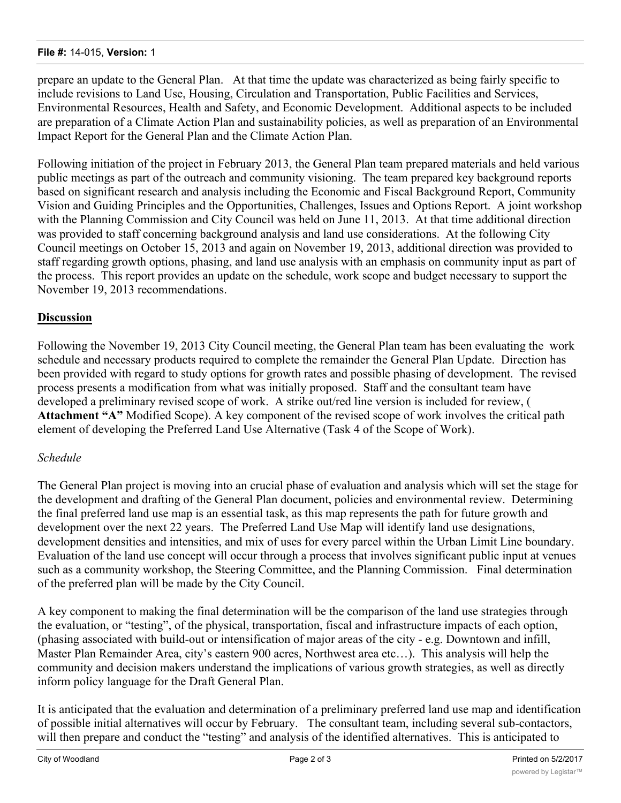#### **File #:** 14-015, **Version:** 1

prepare an update to the General Plan. At that time the update was characterized as being fairly specific to include revisions to Land Use, Housing, Circulation and Transportation, Public Facilities and Services, Environmental Resources, Health and Safety, and Economic Development. Additional aspects to be included are preparation of a Climate Action Plan and sustainability policies, as well as preparation of an Environmental Impact Report for the General Plan and the Climate Action Plan.

Following initiation of the project in February 2013, the General Plan team prepared materials and held various public meetings as part of the outreach and community visioning. The team prepared key background reports based on significant research and analysis including the Economic and Fiscal Background Report, Community Vision and Guiding Principles and the Opportunities, Challenges, Issues and Options Report. A joint workshop with the Planning Commission and City Council was held on June 11, 2013. At that time additional direction was provided to staff concerning background analysis and land use considerations. At the following City Council meetings on October 15, 2013 and again on November 19, 2013, additional direction was provided to staff regarding growth options, phasing, and land use analysis with an emphasis on community input as part of the process. This report provides an update on the schedule, work scope and budget necessary to support the November 19, 2013 recommendations.

# **Discussion**

Following the November 19, 2013 City Council meeting, the General Plan team has been evaluating the work schedule and necessary products required to complete the remainder the General Plan Update. Direction has been provided with regard to study options for growth rates and possible phasing of development. The revised process presents a modification from what was initially proposed. Staff and the consultant team have developed a preliminary revised scope of work. A strike out/red line version is included for review, ( **Attachment "A"** Modified Scope). A key component of the revised scope of work involves the critical path element of developing the Preferred Land Use Alternative (Task 4 of the Scope of Work).

## *Schedule*

The General Plan project is moving into an crucial phase of evaluation and analysis which will set the stage for the development and drafting of the General Plan document, policies and environmental review. Determining the final preferred land use map is an essential task, as this map represents the path for future growth and development over the next 22 years. The Preferred Land Use Map will identify land use designations, development densities and intensities, and mix of uses for every parcel within the Urban Limit Line boundary. Evaluation of the land use concept will occur through a process that involves significant public input at venues such as a community workshop, the Steering Committee, and the Planning Commission. Final determination of the preferred plan will be made by the City Council.

A key component to making the final determination will be the comparison of the land use strategies through the evaluation, or "testing", of the physical, transportation, fiscal and infrastructure impacts of each option, (phasing associated with build-out or intensification of major areas of the city - e.g. Downtown and infill, Master Plan Remainder Area, city's eastern 900 acres, Northwest area etc…). This analysis will help the community and decision makers understand the implications of various growth strategies, as well as directly inform policy language for the Draft General Plan.

It is anticipated that the evaluation and determination of a preliminary preferred land use map and identification of possible initial alternatives will occur by February. The consultant team, including several sub-contactors, will then prepare and conduct the "testing" and analysis of the identified alternatives. This is anticipated to